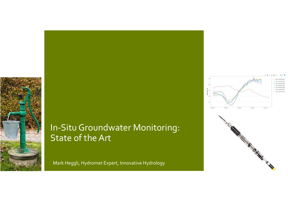

### In-Situ Groundwater Monitoring: State of the Art

Mark Heggli, Hydromet Expert, Innovative Hydrology



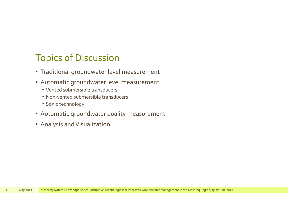# Topics of Discussion

- Traditional groundwater level measurement
- Automatic groundwater level measurement
	- Vented submersible transducers
	- Non-vented submersible transducers
	- Sonic technology
- Automatic groundwater quality measurement 2 6/15/2021 Mashreq Waters Knowledge Series: Disruptive Technologies for Improved Groundwater Management in the Mashreq Region, 15-17 June 2021<br>2 6/15/2021 Mashreq Waters Knowledge Series: Disruptive Technologies for Impro
	- Analysis and Visualization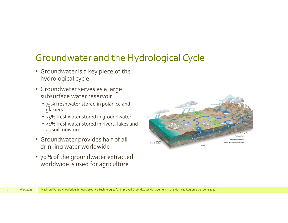# Groundwater and the Hydrological Cycle

- Groundwater is a key piece of the hydrological cycle
- Groundwater serves as a large subsurface water reservoir
	- 75% freshwater stored in polar ice and glaciers
	- 25% freshwater stored in groundwater
	- <1% freshwater stored in rivers, lakes and as soil moisture
- Groundwater provides half of all drinking water worldwide
- 70% of the groundwater extracted worldwide is used for agriculture

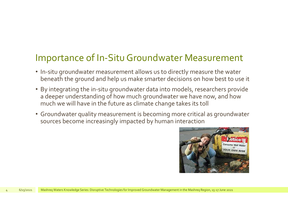## Importance of In-Situ Groundwater Measurement

- In-situ groundwater measurement allows us to directly measure the water beneath the ground and help us make smarter decisions on how best to use it
- By integrating the in-situ groundwater data into models, researchers provide a deeper understanding of how much groundwater we have now, and how much we will have in the future as climate change takes its toll
- Groundwater quality measurement is becoming more critical as groundwater sources become increasingly impacted by human interaction 4 6/15/2021 Mashreq Waters Knowledge Series: Disruptive Technologius for Improved Groundwater Management in the Mashreq Region, 15-17 June 2021<br>4 6/15/2021 Mashreq Waters Knowledge Series: Disruptive Technologius for Impro

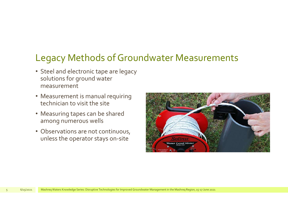# Legacy Methods of Groundwater Measurements

- Steel and electronic tape are legacy solutions for ground water measurement
- Measurement is manual requiring technician to visit the site
- Measuring tapes can be shared among numerous wells
- Observations are not continuous, unless the operator stays on-site

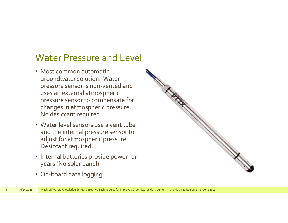### Water Pressure and Level

- Most common automatic groundwater solution. Water groom water<br>pressure sensor is non-vented and<br>uses an external atmospheric<br>pressure sensor to compensate for uses an external atmospheric pressure sensor to compensate for changes in atmospheric pressure. No desiccant required
- Water level sensors use a vent tube and the internal pressure sensor to adjust for atmospheric pressure. Desiccant required.
- Internal batteries provide power for years (No solar panel)
- On-board data logging

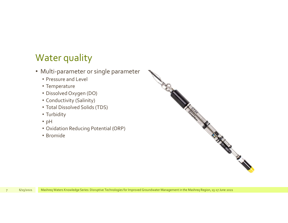# Water quality

- Multi-parameter or single parameter
	- Pressure and Level
	- Temperature
	- Dissolved Oxygen (DO)
	- Conductivity (Salinity)
	- Total Dissolved Solids (TDS)
	- Turbidity
	- pH
	- Oxidation Reducing Potential (ORP)
	- Bromide

• Conductivity (Salinity)<br>• Turbidity<br>• pH<br>• Oxidation Reducing Potential (ORP)<br>• Bromide<br>• Siskessa Mashreq Waters Knowledge Series: Disruptive Technologies for Improved Groundwater Management in the Mashreq Region, 15-17

**CONTROLLER**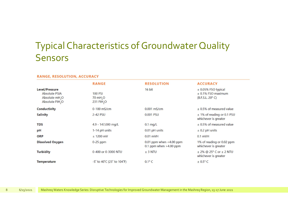# Typical Characteristics of Groundwater Quality Sensors

#### **RANGE, RESOLUTION, ACCURACY**

|   |           | <b>Level/Pressure</b><br><b>Absolute PSIA</b><br>Absolute mH <sub>2</sub> O<br>Absolute FtH <sub>2</sub> O                          | <b>RANGE</b><br><b>100 PSI</b><br>70 mH <sub>2</sub> O<br>231 FtH <sub>2</sub> O | <b>RESOLUTION</b><br>16 bit                            | <b>ACCURACY</b><br>$±$ 0.05% FSO typical<br>$±$ 0.1% FSO maximum<br>(B.F.S.L. 20° C) |  |
|---|-----------|-------------------------------------------------------------------------------------------------------------------------------------|----------------------------------------------------------------------------------|--------------------------------------------------------|--------------------------------------------------------------------------------------|--|
|   |           | <b>Conductivity</b>                                                                                                                 | 0-100 mS/cm                                                                      | $0.001$ mS/cm                                          | $±$ 0.5% of measured value                                                           |  |
|   |           | <b>Salinity</b>                                                                                                                     | 2-42 PSU                                                                         | 0.001 PSU                                              | ± 1% of reading or 0.1 PSU<br>whichever is greater                                   |  |
|   |           | <b>TDS</b>                                                                                                                          | 4.9 - 147,000 mg/L                                                               | $0.1$ mg/L                                             | $±$ 0.5% of measured value                                                           |  |
|   |           | pH                                                                                                                                  | 1-14 pH units                                                                    | 0.01 pH units                                          | $±$ 0.2 pH units                                                                     |  |
|   |           | <b>ORP</b>                                                                                                                          | $± 1200$ mV                                                                      | $0.01$ mVH                                             | $0.1$ mVH                                                                            |  |
|   |           | <b>Dissolved Oxygen</b>                                                                                                             | $0-25$ ppm                                                                       | 0.01 ppm when $<$ 4.00 ppm<br>0.1 ppm when $>4.00$ ppm | 1% of reading or 0.02 ppm<br>whichever is greater                                    |  |
|   |           | <b>Turbidity</b>                                                                                                                    | 0-400 or 0-3000 NTU                                                              | $±$ 3 NTU                                              | $±$ 2% @ 25 $^{\circ}$ C or $±$ 2 NTU<br>whichever is greater                        |  |
|   |           | <b>Temperature</b>                                                                                                                  | -5° to 40°C (23° to 104°F)                                                       | $0.1^{\circ}$ C                                        | $± 0.5$ °C                                                                           |  |
| 8 | 6/15/2021 | Mashreq Waters Knowledge Series: Disruptive Technologies for Improved Groundwater Management in the Mashreq Region, 15-17 June 2021 |                                                                                  |                                                        |                                                                                      |  |
|   |           |                                                                                                                                     |                                                                                  |                                                        |                                                                                      |  |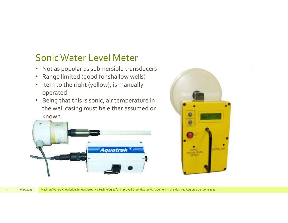## Sonic Water Level Meter

- Not as popular as submersible transducers
- Range limited (good for shallow wells)
- Item to the right (yellow), is manually operated
- Being that this is sonic, air temperature in the well casing must be either assumed or known.



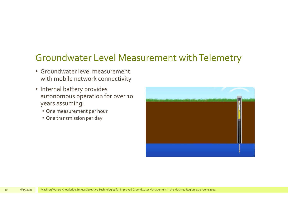## Groundwater Level Measurement with Telemetry

- Groundwater level measurement with mobile network connectivity
- Internal battery provides autonomous operation for over 10 years assuming:
	- One measurement per hour
	- One transmission per day

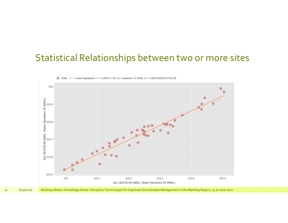## Statistical Relationships between two or more sites

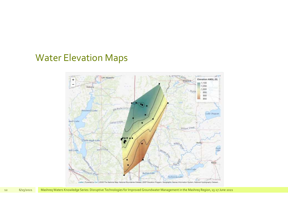### Water Elevation Maps



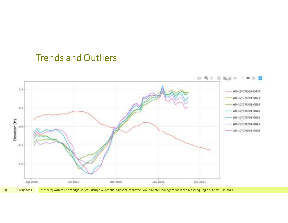### Trends and Outliers